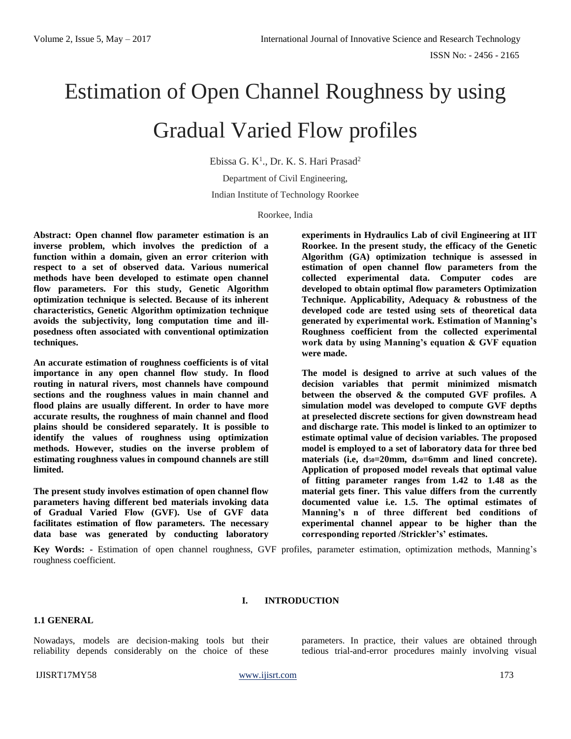# Estimation of Open Channel Roughness by using Gradual Varied Flow profiles

Ebissa G. K<sup>1</sup>., Dr. K. S. Hari Prasad<sup>2</sup>

Department of Civil Engineering, Indian Institute of Technology Roorkee

Roorkee, India

**Abstract: Open channel flow parameter estimation is an inverse problem, which involves the prediction of a function within a domain, given an error criterion with respect to a set of observed data. Various numerical methods have been developed to estimate open channel flow parameters. For this study, Genetic Algorithm optimization technique is selected. Because of its inherent characteristics, Genetic Algorithm optimization technique avoids the subjectivity, long computation time and illposedness often associated with conventional optimization techniques.**

**An accurate estimation of roughness coefficients is of vital importance in any open channel flow study. In flood routing in natural rivers, most channels have compound sections and the roughness values in main channel and flood plains are usually different. In order to have more accurate results, the roughness of main channel and flood plains should be considered separately. It is possible to identify the values of roughness using optimization methods. However, studies on the inverse problem of estimating roughness values in compound channels are still limited.**

**The present study involves estimation of open channel flow parameters having different bed materials invoking data of Gradual Varied Flow (GVF). Use of GVF data facilitates estimation of flow parameters. The necessary data base was generated by conducting laboratory** 

**experiments in Hydraulics Lab of civil Engineering at IIT Roorkee. In the present study, the efficacy of the Genetic Algorithm (GA) optimization technique is assessed in estimation of open channel flow parameters from the collected experimental data. Computer codes are developed to obtain optimal flow parameters Optimization Technique. Applicability, Adequacy & robustness of the developed code are tested using sets of theoretical data generated by experimental work. Estimation of Manning's Roughness coefficient from the collected experimental work data by using Manning's equation & GVF equation were made.** 

**The model is designed to arrive at such values of the decision variables that permit minimized mismatch between the observed & the computed GVF profiles. A simulation model was developed to compute GVF depths at preselected discrete sections for given downstream head and discharge rate. This model is linked to an optimizer to estimate optimal value of decision variables. The proposed model is employed to a set of laboratory data for three bed materials (i.e, d50=20mm, d50=6mm and lined concrete). Application of proposed model reveals that optimal value of fitting parameter ranges from 1.42 to 1.48 as the material gets finer. This value differs from the currently documented value i.e. 1.5. The optimal estimates of Manning's n of three different bed conditions of experimental channel appear to be higher than the corresponding reported /Strickler's' estimates.** 

**Key Words: -** Estimation of open channel roughness, GVF profiles, parameter estimation, optimization methods, Manning's roughness coefficient.

# **I. INTRODUCTION**

#### **1.1 GENERAL**

Nowadays, models are decision-making tools but their reliability depends considerably on the choice of these parameters. In practice, their values are obtained through tedious trial-and-error procedures mainly involving visual

IJISRT17MY58 [www.ijisrt.com](http://www.ijisrt.com/) 173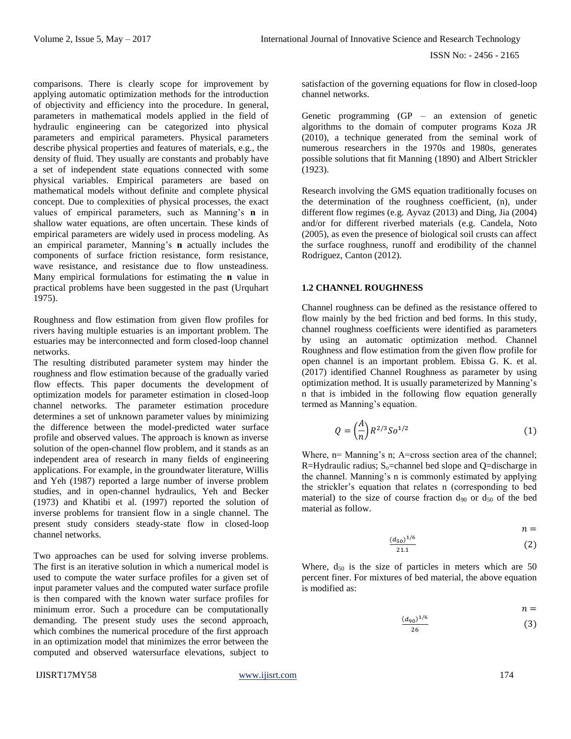comparisons. There is clearly scope for improvement by applying automatic optimization methods for the introduction of objectivity and efficiency into the procedure. In general, parameters in mathematical models applied in the field of hydraulic engineering can be categorized into physical parameters and empirical parameters. Physical parameters describe physical properties and features of materials, e.g., the density of fluid. They usually are constants and probably have a set of independent state equations connected with some physical variables. Empirical parameters are based on mathematical models without definite and complete physical concept. Due to complexities of physical processes, the exact values of empirical parameters, such as Manning's **n** in shallow water equations, are often uncertain. These kinds of empirical parameters are widely used in process modeling. As an empirical parameter, Manning's **n** actually includes the components of surface friction resistance, form resistance, wave resistance, and resistance due to flow unsteadiness. Many empirical formulations for estimating the **n** value in practical problems have been suggested in the past (Urquhart 1975).

Roughness and flow estimation from given flow profiles for rivers having multiple estuaries is an important problem. The estuaries may be interconnected and form closed-loop channel networks.

The resulting distributed parameter system may hinder the roughness and flow estimation because of the gradually varied flow effects. This paper documents the development of optimization models for parameter estimation in closed-loop channel networks. The parameter estimation procedure determines a set of unknown parameter values by minimizing the difference between the model-predicted water surface profile and observed values. The approach is known as inverse solution of the open-channel flow problem, and it stands as an independent area of research in many fields of engineering applications. For example, in the groundwater literature, Willis and Yeh (1987) reported a large number of inverse problem studies, and in open-channel hydraulics, Yeh and Becker (1973) and Khatibi et al. (1997) reported the solution of inverse problems for transient flow in a single channel. The present study considers steady-state flow in closed-loop channel networks.

Two approaches can be used for solving inverse problems. The first is an iterative solution in which a numerical model is used to compute the water surface profiles for a given set of input parameter values and the computed water surface profile is then compared with the known water surface profiles for minimum error. Such a procedure can be computationally demanding. The present study uses the second approach, which combines the numerical procedure of the first approach in an optimization model that minimizes the error between the computed and observed watersurface elevations, subject to

satisfaction of the governing equations for flow in closed-loop channel networks.

Genetic programming (GP – an extension of genetic algorithms to the domain of computer programs Koza JR (2010), a technique generated from the seminal work of numerous researchers in the 1970s and 1980s, generates possible solutions that fit Manning (1890) and Albert Strickler (1923).

Research involving the GMS equation traditionally focuses on the determination of the roughness coefficient, (n), under different flow regimes (e.g. Ayvaz (2013) and Ding, Jia (2004) and/or for different riverbed materials (e.g. Candela, Noto (2005), as even the presence of biological soil crusts can affect the surface roughness, runoff and erodibility of the channel Rodriguez, Canton (2012).

#### **1.2 CHANNEL ROUGHNESS**

Channel roughness can be defined as the resistance offered to flow mainly by the bed friction and bed forms. In this study, channel roughness coefficients were identified as parameters by using an automatic optimization method. Channel Roughness and flow estimation from the given flow profile for open channel is an important problem. Ebissa G. K. et al. (2017) identified Channel Roughness as parameter by using optimization method. It is usually parameterized by Manning's n that is imbided in the following flow equation generally termed as Manning's equation.

$$
Q = \left(\frac{A}{n}\right) R^{2/3} S o^{1/2} \tag{1}
$$

Where, n= Manning's n; A=cross section area of the channel; R=Hydraulic radius;  $S_0$ =channel bed slope and Q=discharge in the channel. Manning's n is commonly estimated by applying the strickler's equation that relates n (corresponding to bed material) to the size of course fraction  $d_{90}$  or  $d_{50}$  of the bed material as follow.

$$
n =
$$

$$
\frac{(d_{50})^{1/6}}{21.1}
$$
 (2)

Where,  $d_{50}$  is the size of particles in meters which are 50 percent finer. For mixtures of bed material, the above equation is modified as:

$$
\frac{(d_{90})^{1/6}}{26} \qquad \qquad n =
$$
 (3)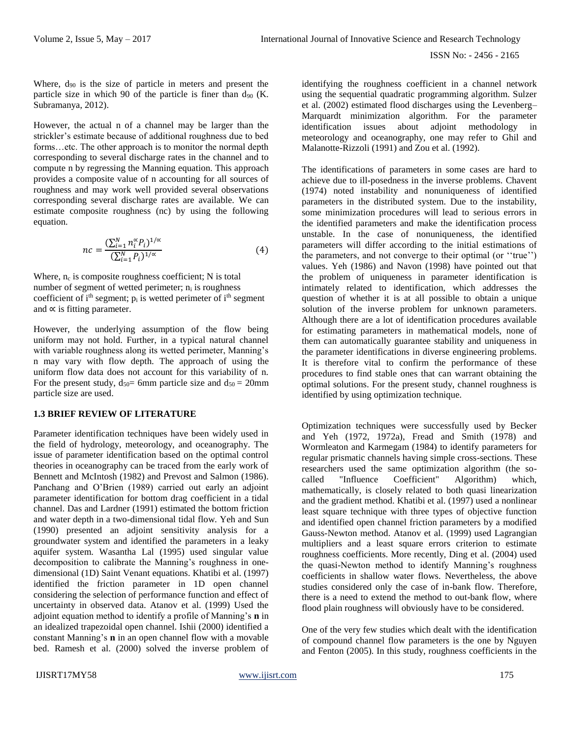Where,  $d_{90}$  is the size of particle in meters and present the particle size in which 90 of the particle is finer than  $d_{90}$  (K. Subramanya, 2012).

However, the actual n of a channel may be larger than the strickler's estimate because of additional roughness due to bed forms…etc. The other approach is to monitor the normal depth corresponding to several discharge rates in the channel and to compute n by regressing the Manning equation. This approach provides a composite value of n accounting for all sources of roughness and may work well provided several observations corresponding several discharge rates are available. We can estimate composite roughness (nc) by using the following equation.

$$
nc = \frac{\left(\sum_{i=1}^{N} n_i^{\alpha} P_i\right)^{1/\alpha}}{\left(\sum_{i=1}^{N} P_i\right)^{1/\alpha}}\tag{4}
$$

Where,  $n_c$  is composite roughness coefficient; N is total number of segment of wetted perimeter;  $n_i$  is roughness coefficient of  $i<sup>th</sup>$  segment;  $p<sub>i</sub>$  is wetted perimeter of  $i<sup>th</sup>$  segment and  $\propto$  is fitting parameter.

However, the underlying assumption of the flow being uniform may not hold. Further, in a typical natural channel with variable roughness along its wetted perimeter, Manning's n may vary with flow depth. The approach of using the uniform flow data does not account for this variability of n. For the present study,  $d_{50}$  = 6mm particle size and  $d_{50}$  = 20mm particle size are used.

#### **1.3 BRIEF REVIEW OF LITERATURE**

Parameter identification techniques have been widely used in the field of hydrology, meteorology, and oceanography. The issue of parameter identification based on the optimal control theories in oceanography can be traced from the early work of Bennett and McIntosh (1982) and Prevost and Salmon (1986). Panchang and O'Brien (1989) carried out early an adjoint parameter identification for bottom drag coefficient in a tidal channel. Das and Lardner (1991) estimated the bottom friction and water depth in a two-dimensional tidal flow. Yeh and Sun (1990) presented an adjoint sensitivity analysis for a groundwater system and identified the parameters in a leaky aquifer system. Wasantha Lal (1995) used singular value decomposition to calibrate the Manning's roughness in onedimensional (1D) Saint Venant equations. Khatibi et al. (1997) identified the friction parameter in 1D open channel considering the selection of performance function and effect of uncertainty in observed data. Atanov et al. (1999) Used the adjoint equation method to identify a profile of Manning's **n** in an idealized trapezoidal open channel. Ishii (2000) identified a constant Manning's **n** in an open channel flow with a movable bed. Ramesh et al. (2000) solved the inverse problem of

identifying the roughness coefficient in a channel network using the sequential quadratic programming algorithm. Sulzer et al. (2002) estimated flood discharges using the Levenberg– Marquardt minimization algorithm. For the parameter identification issues about adjoint methodology in meteorology and oceanography, one may refer to Ghil and Malanotte-Rizzoli (1991) and Zou et al. (1992).

The identifications of parameters in some cases are hard to achieve due to ill-posedness in the inverse problems. Chavent (1974) noted instability and nonuniqueness of identified parameters in the distributed system. Due to the instability, some minimization procedures will lead to serious errors in the identified parameters and make the identification process unstable. In the case of nonuniqueness, the identified parameters will differ according to the initial estimations of the parameters, and not converge to their optimal (or ''true'') values. Yeh (1986) and Navon (1998) have pointed out that the problem of uniqueness in parameter identification is intimately related to identification, which addresses the question of whether it is at all possible to obtain a unique solution of the inverse problem for unknown parameters. Although there are a lot of identification procedures available for estimating parameters in mathematical models, none of them can automatically guarantee stability and uniqueness in the parameter identifications in diverse engineering problems. It is therefore vital to confirm the performance of these procedures to find stable ones that can warrant obtaining the optimal solutions. For the present study, channel roughness is identified by using optimization technique.

Optimization techniques were successfully used by Becker and Yeh (1972, 1972a), Fread and Smith (1978) and Wormleaton and Karmegam (1984) to identify parameters for regular prismatic channels having simple cross-sections. These researchers used the same optimization algorithm (the socalled "Influence Coefficient" Algorithm) which, mathematically, is closely related to both quasi linearization and the gradient method. Khatibi et al. (1997) used a nonlinear least square technique with three types of objective function and identified open channel friction parameters by a modified Gauss-Newton method. Atanov et al. (1999) used Lagrangian multipliers and a least square errors criterion to estimate roughness coefficients. More recently, Ding et al. (2004) used the quasi-Newton method to identify Manning's roughness coefficients in shallow water flows. Nevertheless, the above studies considered only the case of in-bank flow. Therefore, there is a need to extend the method to out-bank flow, where flood plain roughness will obviously have to be considered.

One of the very few studies which dealt with the identification of compound channel flow parameters is the one by Nguyen and Fenton (2005). In this study, roughness coefficients in the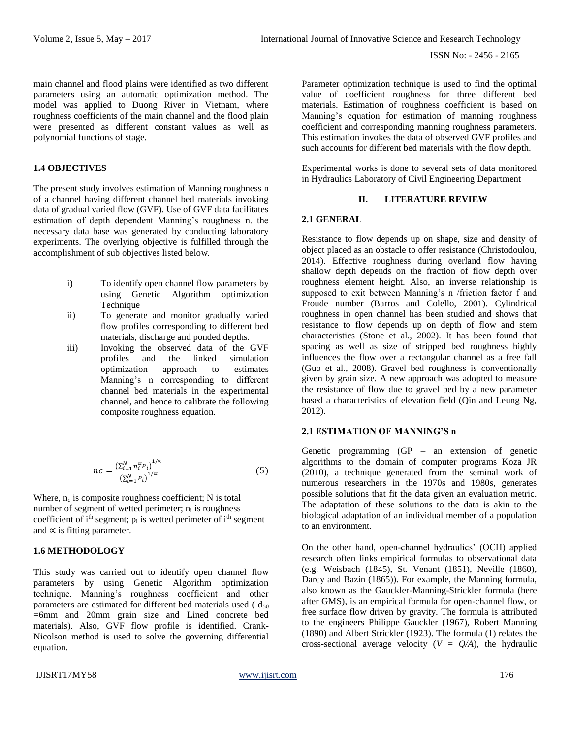main channel and flood plains were identified as two different parameters using an automatic optimization method. The model was applied to Duong River in Vietnam, where roughness coefficients of the main channel and the flood plain were presented as different constant values as well as polynomial functions of stage.

# **1.4 OBJECTIVES**

The present study involves estimation of Manning roughness n of a channel having different channel bed materials invoking data of gradual varied flow (GVF). Use of GVF data facilitates estimation of depth dependent Manning's roughness n. the necessary data base was generated by conducting laboratory experiments. The overlying objective is fulfilled through the accomplishment of sub objectives listed below.

- i) To identify open channel flow parameters by using Genetic Algorithm optimization **Technique**
- ii) To generate and monitor gradually varied flow profiles corresponding to different bed materials, discharge and ponded depths.
- iii) Invoking the observed data of the GVF profiles and the linked simulation optimization approach to estimates Manning's n corresponding to different channel bed materials in the experimental channel, and hence to calibrate the following composite roughness equation.

$$
nc = \frac{\left(\sum_{i=1}^{N} n_i^{\alpha} P_i\right)^{1/\alpha}}{\left(\sum_{i=1}^{N} P_i\right)^{1/\alpha}}
$$
(5)

Where,  $n_c$  is composite roughness coefficient; N is total number of segment of wetted perimeter;  $n_i$  is roughness coefficient of i<sup>th</sup> segment;  $p_i$  is wetted perimeter of i<sup>th</sup> segment and  $\propto$  is fitting parameter.

# **1.6 METHODOLOGY**

This study was carried out to identify open channel flow parameters by using Genetic Algorithm optimization technique. Manning's roughness coefficient and other parameters are estimated for different bed materials used  $(d_{50})$ =6mm and 20mm grain size and Lined concrete bed materials). Also, GVF flow profile is identified. Crank-Nicolson method is used to solve the governing differential equation.

Parameter optimization technique is used to find the optimal value of coefficient roughness for three different bed materials. Estimation of roughness coefficient is based on Manning's equation for estimation of manning roughness coefficient and corresponding manning roughness parameters. This estimation invokes the data of observed GVF profiles and such accounts for different bed materials with the flow depth.

Experimental works is done to several sets of data monitored in Hydraulics Laboratory of Civil Engineering Department

# **II. LITERATURE REVIEW**

#### **2.1 GENERAL**

Resistance to flow depends up on shape, size and density of object placed as an obstacle to offer resistance (Christodoulou, 2014). Effective roughness during overland flow having shallow depth depends on the fraction of flow depth over roughness element height. Also, an inverse relationship is supposed to exit between Manning's n /friction factor f and Froude number (Barros and Colello, 2001). Cylindrical roughness in open channel has been studied and shows that resistance to flow depends up on depth of flow and stem characteristics (Stone et al., 2002). It has been found that spacing as well as size of stripped bed roughness highly influences the flow over a rectangular channel as a free fall (Guo et al., 2008). Gravel bed roughness is conventionally given by grain size. A new approach was adopted to measure the resistance of flow due to gravel bed by a new parameter based a characteristics of elevation field (Qin and Leung Ng, 2012).

# **2.1 ESTIMATION OF MANNING'S n**

Genetic programming (GP – an extension of genetic algorithms to the domain of computer programs Koza JR (2010), a technique generated from the seminal work of numerous researchers in the 1970s and 1980s, generates possible solutions that fit the data given an evaluation metric. The adaptation of these solutions to the data is akin to the biological adaptation of an individual member of a population to an environment.

On the other hand, open-channel hydraulics' (OCH) applied research often links empirical formulas to observational data (e.g. Weisbach (1845), St. Venant (1851), Neville (1860), Darcy and Bazin (1865)). For example, the Manning formula, also known as the Gauckler-Manning-Strickler formula (here after GMS), is an empirical formula for open-channel flow, or free surface flow driven by gravity. The formula is attributed to the engineers Philippe Gauckler (1967), Robert Manning (1890) and Albert Strickler (1923). The formula (1) relates the cross-sectional average velocity  $(V = Q/A)$ , the hydraulic

#### IJISRT17MY58 [www.ijisrt.com](http://www.ijisrt.com/) 176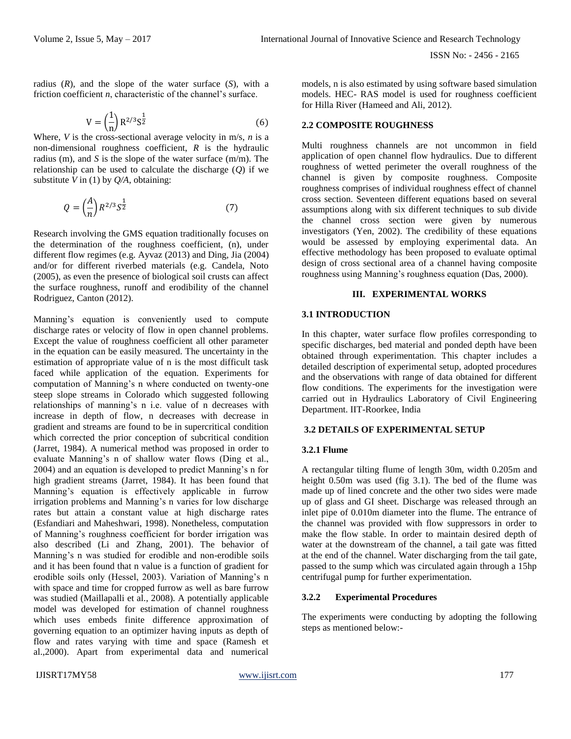radius (*R*), and the slope of the water surface (*S*), with a friction coefficient *n*, characteristic of the channel's surface.

$$
V = \left(\frac{1}{n}\right) R^{2/3} S^{\frac{1}{2}}
$$
 (6)

Where, *V* is the cross-sectional average velocity in m/s, *n* is a non-dimensional roughness coefficient, *R* is the hydraulic radius (m), and *S* is the slope of the water surface (m/m). The relationship can be used to calculate the discharge (*Q*) if we substitute *V* in (1) by *Q/A*, obtaining:

$$
Q = \left(\frac{A}{n}\right) R^{2/3} S^{\frac{1}{2}} \tag{7}
$$

Research involving the GMS equation traditionally focuses on the determination of the roughness coefficient, (n), under different flow regimes (e.g. Ayvaz (2013) and Ding, Jia (2004) and/or for different riverbed materials (e.g. Candela, Noto (2005), as even the presence of biological soil crusts can affect the surface roughness, runoff and erodibility of the channel Rodriguez, Canton (2012).

Manning's equation is conveniently used to compute discharge rates or velocity of flow in open channel problems. Except the value of roughness coefficient all other parameter in the equation can be easily measured. The uncertainty in the estimation of appropriate value of n is the most difficult task faced while application of the equation. Experiments for computation of Manning's n where conducted on twenty-one steep slope streams in Colorado which suggested following relationships of manning's n i.e. value of n decreases with increase in depth of flow, n decreases with decrease in gradient and streams are found to be in supercritical condition which corrected the prior conception of subcritical condition (Jarret, 1984). A numerical method was proposed in order to evaluate Manning's n of shallow water flows (Ding et al., 2004) and an equation is developed to predict Manning's n for high gradient streams (Jarret, 1984). It has been found that Manning's equation is effectively applicable in furrow irrigation problems and Manning's n varies for low discharge rates but attain a constant value at high discharge rates (Esfandiari and Maheshwari, 1998). Nonetheless, computation of Manning's roughness coefficient for border irrigation was also described (Li and Zhang, 2001). The behavior of Manning's n was studied for erodible and non-erodible soils and it has been found that n value is a function of gradient for erodible soils only (Hessel, 2003). Variation of Manning's n with space and time for cropped furrow as well as bare furrow was studied (Maillapalli et al., 2008). A potentially applicable model was developed for estimation of channel roughness which uses embeds finite difference approximation of governing equation to an optimizer having inputs as depth of flow and rates varying with time and space (Ramesh et al.,2000). Apart from experimental data and numerical models, n is also estimated by using software based simulation models. HEC- RAS model is used for roughness coefficient for Hilla River (Hameed and Ali, 2012).

# **2.2 COMPOSITE ROUGHNESS**

Multi roughness channels are not uncommon in field application of open channel flow hydraulics. Due to different roughness of wetted perimeter the overall roughness of the channel is given by composite roughness. Composite roughness comprises of individual roughness effect of channel cross section. Seventeen different equations based on several assumptions along with six different techniques to sub divide the channel cross section were given by numerous investigators (Yen, 2002). The credibility of these equations would be assessed by employing experimental data. An effective methodology has been proposed to evaluate optimal design of cross sectional area of a channel having composite roughness using Manning's roughness equation (Das, 2000).

# **III. EXPERIMENTAL WORKS**

# **3.1 INTRODUCTION**

In this chapter, water surface flow profiles corresponding to specific discharges, bed material and ponded depth have been obtained through experimentation. This chapter includes a detailed description of experimental setup, adopted procedures and the observations with range of data obtained for different flow conditions. The experiments for the investigation were carried out in Hydraulics Laboratory of Civil Engineering Department. IIT-Roorkee, India

# **3.2 DETAILS OF EXPERIMENTAL SETUP**

# **3.2.1 Flume**

A rectangular tilting flume of length 30m, width 0.205m and height 0.50m was used (fig 3.1). The bed of the flume was made up of lined concrete and the other two sides were made up of glass and GI sheet. Discharge was released through an inlet pipe of 0.010m diameter into the flume. The entrance of the channel was provided with flow suppressors in order to make the flow stable. In order to maintain desired depth of water at the downstream of the channel, a tail gate was fitted at the end of the channel. Water discharging from the tail gate, passed to the sump which was circulated again through a 15hp centrifugal pump for further experimentation.

# **3.2.2 Experimental Procedures**

The experiments were conducting by adopting the following steps as mentioned below:-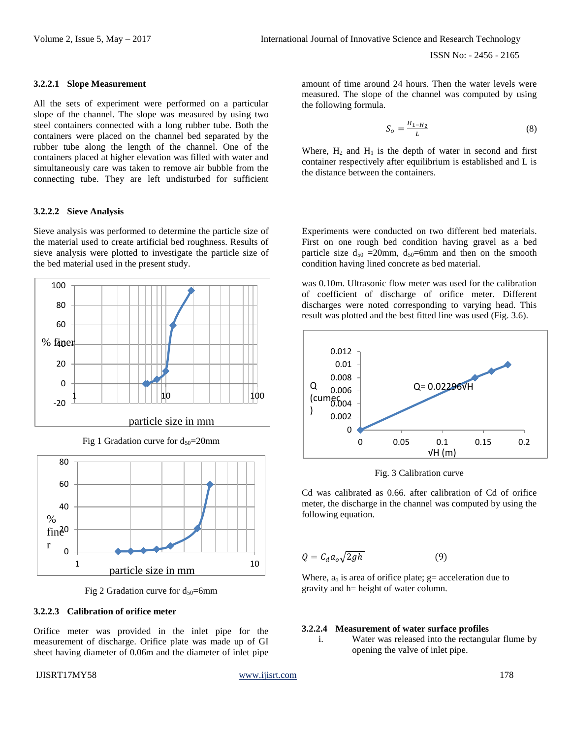#### **3.2.2.1 Slope Measurement**

All the sets of experiment were performed on a particular slope of the channel. The slope was measured by using two steel containers connected with a long rubber tube. Both the containers were placed on the channel bed separated by the rubber tube along the length of the channel. One of the containers placed at higher elevation was filled with water and simultaneously care was taken to remove air bubble from the connecting tube. They are left undisturbed for sufficient

# **3.2.2.2 Sieve Analysis**

Sieve analysis was performed to determine the particle size of the material used to create artificial bed roughness. Results of sieve analysis were plotted to investigate the particle size of the bed material used in the present study.



Fig 1 Gradation curve for  $d_{50}=20$ mm



Fig 2 Gradation curve for  $d_{50}$ =6mm

#### **3.2.2.3 Calibration of orifice meter**

Orifice meter was provided in the inlet pipe for the measurement of discharge. Orifice plate was made up of GI sheet having diameter of 0.06m and the diameter of inlet pipe

IJISRT17MY58 [www.ijisrt.com](http://www.ijisrt.com/) 178

amount of time around 24 hours. Then the water levels were measured. The slope of the channel was computed by using the following formula.

$$
S_o = \frac{H_{1-H_2}}{L} \tag{8}
$$

Where,  $H_2$  and  $H_1$  is the depth of water in second and first container respectively after equilibrium is established and L is the distance between the containers.

Experiments were conducted on two different bed materials. First on one rough bed condition having gravel as a bed particle size  $d_{50} = 20$ mm,  $d_{50} = 6$ mm and then on the smooth condition having lined concrete as bed material.

was 0.10m. Ultrasonic flow meter was used for the calibration of coefficient of discharge of orifice meter. Different discharges were noted corresponding to varying head. This result was plotted and the best fitted line was used (Fig. 3.6).



Fig. 3 Calibration curve

Cd was calibrated as 0.66. after calibration of Cd of orifice meter, the discharge in the channel was computed by using the following equation.

$$
Q = C_d a_o \sqrt{2gh} \tag{9}
$$

Where,  $a_0$  is area of orifice plate;  $g=$  acceleration due to gravity and h= height of water column.

#### **3.2.2.4 Measurement of water surface profiles**

i. Water was released into the rectangular flume by opening the valve of inlet pipe.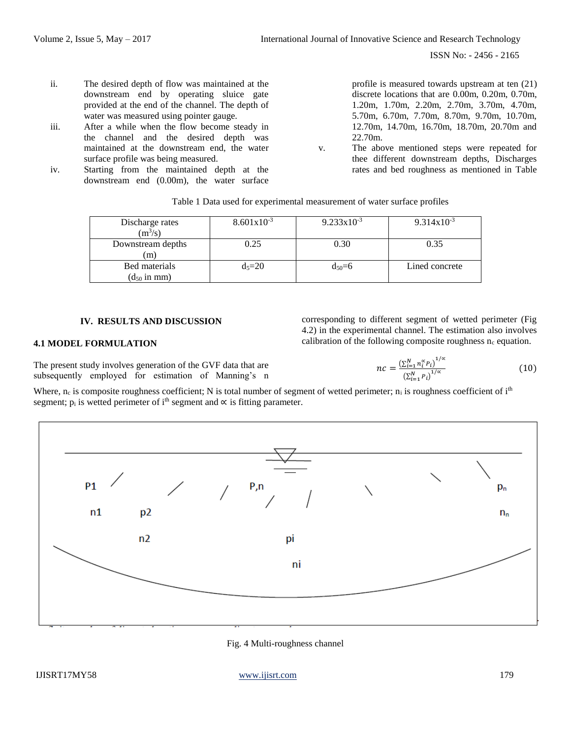- ii. The desired depth of flow was maintained at the downstream end by operating sluice gate provided at the end of the channel. The depth of water was measured using pointer gauge.
- iii. After a while when the flow become steady in the channel and the desired depth was maintained at the downstream end, the water surface profile was being measured.
- iv. Starting from the maintained depth at the downstream end (0.00m), the water surface

profile is measured towards upstream at ten (21) discrete locations that are 0.00m, 0.20m, 0.70m, 1.20m, 1.70m, 2.20m, 2.70m, 3.70m, 4.70m, 5.70m, 6.70m, 7.70m, 8.70m, 9.70m, 10.70m, 12.70m, 14.70m, 16.70m, 18.70m, 20.70m and 22.70m.

v. The above mentioned steps were repeated for thee different downstream depths, Discharges rates and bed roughness as mentioned in Table

|  |  |  | Table 1 Data used for experimental measurement of water surface profiles |
|--|--|--|--------------------------------------------------------------------------|
|  |  |  |                                                                          |

| Discharge rates<br>$(m^3/s)$      | $8.601x10^{-3}$ | $9.233 \times 10^{-3}$ | $9.314x10^{-3}$ |
|-----------------------------------|-----------------|------------------------|-----------------|
| Downstream depths<br>m            | 0.25            | 0.30                   | 0.35            |
| Bed materials<br>$(d_{50}$ in mm) | $d_5 = 20$      | $d_{50}=6$             | Lined concrete  |

#### **IV. RESULTS AND DISCUSSION**

# **4.1 MODEL FORMULATION**

corresponding to different segment of wetted perimeter (Fig 4.2) in the experimental channel. The estimation also involves calibration of the following composite roughness  $n_c$  equation.

> $nc = \frac{\left(\sum_{i=1}^{N} n_i^{\alpha} P_i\right)^{1/\alpha}}{\sum_{i=1}^{N} n_i^{\alpha} P_i}$  $(\sum_{i=1}^{N} P_i)^{1/\alpha}$

The present study involves generation of the GVF data that are subsequently employed for estimation of Manning's n

Where,  $n_c$  is composite roughness coefficient; N is total number of segment of wetted perimeter;  $n_i$  is roughness coefficient of i<sup>th</sup> segment;  $p_i$  is wetted perimeter of i<sup>th</sup> segment and  $\propto$  is fitting parameter.



Fig. 4 Multi-roughness channel

(10)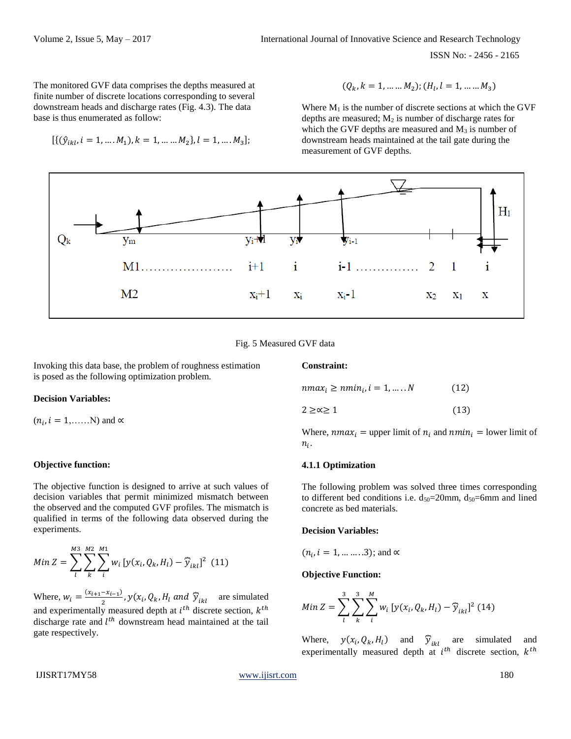ISSN No: - 2456 - 2165

The monitored GVF data comprises the depths measured at finite number of discrete locations corresponding to several downstream heads and discharge rates (Fig. 4.3). The data base is thus enumerated as follow:

$$
[\{(\hat{y}_{ikl}, i = 1, ..., M_1), k = 1, ..., M_2\}, l = 1, ..., M_3];
$$

$$
(Q_k, k = 1, \dots, M_2); (H_l, l = 1, \dots, M_3)
$$

Where  $M_1$  is the number of discrete sections at which the GVF depths are measured;  $M_2$  is number of discharge rates for which the GVF depths are measured and  $M_3$  is number of downstream heads maintained at the tail gate during the measurement of GVF depths.



#### Fig. 5 Measured GVF data

Invoking this data base, the problem of roughness estimation is posed as the following optimization problem.

# **Decision Variables:**

 $(n_i, i = 1, \dots, N)$  and  $\propto$ 

#### **Objective function:**

The objective function is designed to arrive at such values of decision variables that permit minimized mismatch between the observed and the computed GVF profiles. The mismatch is qualified in terms of the following data observed during the experiments.

Min 
$$
Z = \sum_{l}^{M3} \sum_{k}^{M2} \sum_{i}^{M1} w_i [y(x_i, Q_k, H_l) - \widehat{y}_{ikl}]^2
$$
 (11)

Where,  $w_i = \frac{(x_{i+1} - x_{i-1})}{2}$  $\frac{Z_{i-1}}{2}$ ,  $y(x_i, Q_k, H_l \text{ and } \hat{y}_{ikl}$  are simulated and experimentally measured depth at  $i^{th}$  discrete section,  $k^{th}$ discharge rate and  $l^{th}$  downstream head maintained at the tail gate respectively.

$$
n\max_{i} \ge n\min_{i} i = 1, \dots, N \tag{12}
$$
  
 
$$
2 \ge \infty \ge 1 \tag{13}
$$

Where,  $nmax_i$  = upper limit of  $n_i$  and  $nmin_i$  = lower limit of

# **4.1.1 Optimization**

 $n_i$ .

**Constraint:**

The following problem was solved three times corresponding to different bed conditions i.e.  $d_{50}=20$ mm,  $d_{50}=6$ mm and lined concrete as bed materials.

#### **Decision Variables:**

$$
(n_i, i = 1, \dots \dots \dots 3)
$$
; and  $\alpha$ 

#### **Objective Function:**

Min 
$$
Z = \sum_{l}^{3} \sum_{k}^{3} \sum_{i}^{M} w_{i} [y(x_{i}, Q_{k}, H_{l}) - \widehat{y}_{ikl}]^{2}
$$
 (14)

Where,  $y(x_i, Q_k, H_l)$  and  $\hat{y}_{ikl}$  are simulated and experimentally measured depth at  $i^{th}$  discrete section,  $k^{th}$ 

# IJISRT17MY58 [www.ijisrt.com](http://www.ijisrt.com/) 180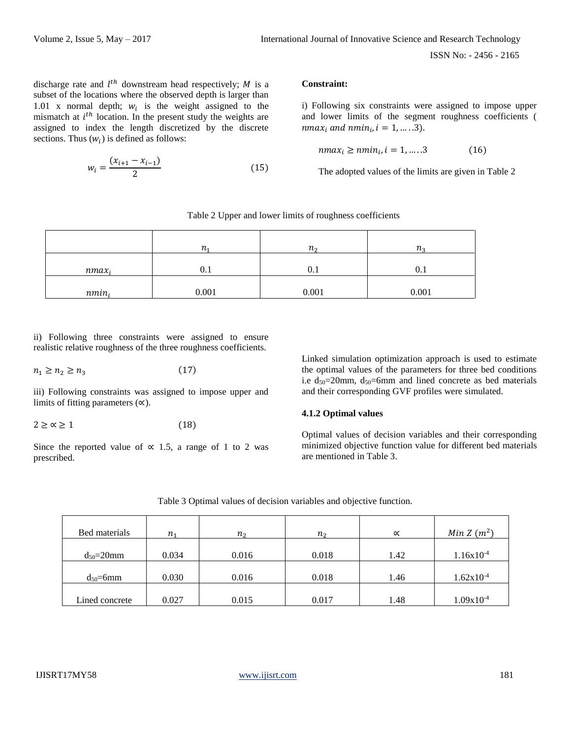discharge rate and  $l^{th}$  downstream head respectively; M is a subset of the locations where the observed depth is larger than 1.01 x normal depth;  $w_i$  is the weight assigned to the mismatch at  $i<sup>th</sup>$  location. In the present study the weights are assigned to index the length discretized by the discrete sections. Thus  $(w_i)$  is defined as follows:

$$
w_i = \frac{(x_{i+1} - x_{i-1})}{2} \tag{15}
$$

# **Constraint:**

i) Following six constraints were assigned to impose upper and lower limits of the segment roughness coefficients ( nmax<sub>i</sub> and nmin<sub>i</sub>,  $i = 1, ..., 3$ ).

$$
n\max_i \geq n\min_i, i = 1, \dots .3 \tag{16}
$$

The adopted values of the limits are given in Table 2

Table 2 Upper and lower limits of roughness coefficients

|          | $n_{1}$ | $n_{\Omega}$ | $n_{\circ}$ |
|----------|---------|--------------|-------------|
| $nmax_i$ | U. I    | U.1          |             |
| $nmin_i$ | 0.001   | 0.001        | 0.001       |

ii) Following three constraints were assigned to ensure realistic relative roughness of the three roughness coefficients.

$$
n_1 \ge n_2 \ge n_3 \tag{17}
$$

iii) Following constraints was assigned to impose upper and limits of fitting parameters  $(\infty)$ .

$$
2 \ge \alpha \ge 1 \tag{18}
$$

Since the reported value of  $\propto$  1.5, a range of 1 to 2 was prescribed.

Linked simulation optimization approach is used to estimate the optimal values of the parameters for three bed conditions i.e  $d_{50}=20$ mm,  $d_{50}=6$ mm and lined concrete as bed materials and their corresponding GVF profiles were simulated.

# **4.1.2 Optimal values**

Optimal values of decision variables and their corresponding minimized objective function value for different bed materials are mentioned in Table 3.

| Bed materials   | n <sub>1</sub> | $n_{2}$ | $n_{2}$ | $\propto$ | Min Z $(m^2)$  |
|-----------------|----------------|---------|---------|-----------|----------------|
| $d_{50}=20$ mm  | 0.034          | 0.016   | 0.018   | 1.42      | $1.16x10^{-4}$ |
| $d_{50} = 6$ mm | 0.030          | 0.016   | 0.018   | 1.46      | $1.62x10^{-4}$ |
| Lined concrete  | 0.027          | 0.015   | 0.017   | 1.48      | $1.09x10^{-4}$ |

Table 3 Optimal values of decision variables and objective function.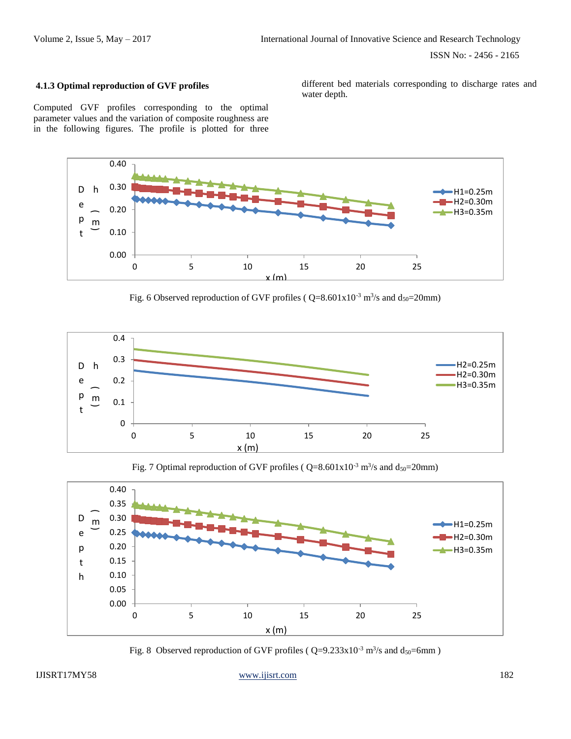# **4.1.3 Optimal reproduction of GVF profiles**

different bed materials corresponding to discharge rates and water depth.

Computed GVF profiles corresponding to the optimal parameter values and the variation of composite roughness are in the following figures. The profile is plotted for three



Fig. 6 Observed reproduction of GVF profiles ( $Q=8.601x10^{-3}$  m<sup>3</sup>/s and  $d_{50}=20$ mm)



Fig. 7 Optimal reproduction of GVF profiles ( $Q=8.601x10^{-3}$  m<sup>3</sup>/s and  $d_{50}=20$ mm)



Fig. 8 Observed reproduction of GVF profiles ( $Q=9.233 \times 10^{-3}$  m<sup>3</sup>/s and  $d_{50}=6$ mm)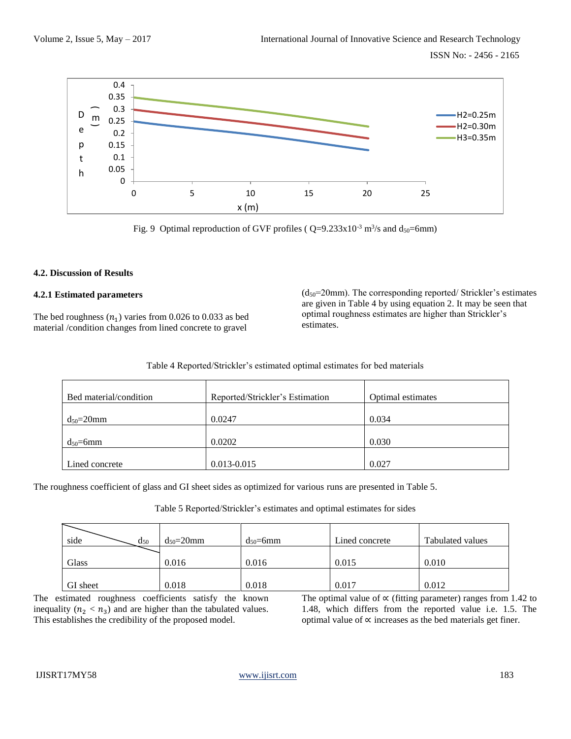ISSN No: - 2456 - 2165



Fig. 9 Optimal reproduction of GVF profiles ( $Q=9.233 \times 10^{-3}$  m<sup>3</sup>/s and d<sub>50</sub>=6mm)

# **4.2. Discussion of Results**

# **4.2.1 Estimated parameters**

The bed roughness  $(n_1)$  varies from 0.026 to 0.033 as bed material /condition changes from lined concrete to gravel

 $(d_{50}=20$ mm). The corresponding reported/ Strickler's estimates are given in Table 4 by using equation 2. It may be seen that optimal roughness estimates are higher than Strickler's estimates.

| Bed material/condition | Reported/Strickler's Estimation | Optimal estimates |
|------------------------|---------------------------------|-------------------|
| $d_{50}=20$ mm         | 0.0247                          | 0.034             |
| $d_{50} = 6$ mm        | 0.0202                          | 0.030             |
| Lined concrete         | 0.013-0.015                     | 0.027             |

The roughness coefficient of glass and GI sheet sides as optimized for various runs are presented in Table 5.

Table 5 Reported/Strickler's estimates and optimal estimates for sides

| side<br>$d_{50}$ | $d_{50} = 20$ mm | $d_{50} = 6 \text{mm}$ | Lined concrete | Tabulated values |
|------------------|------------------|------------------------|----------------|------------------|
| Glass            | 0.016            | 0.016                  | 0.015          | 0.010            |
| GI sheet         | 0.018            | 0.018                  | 0.017          | 0.012            |

The estimated roughness coefficients satisfy the known inequality  $(n_2 < n_3)$  and are higher than the tabulated values. This establishes the credibility of the proposed model.

The optimal value of  $\propto$  (fitting parameter) ranges from 1.42 to 1.48, which differs from the reported value i.e. 1.5. The optimal value of  $\propto$  increases as the bed materials get finer.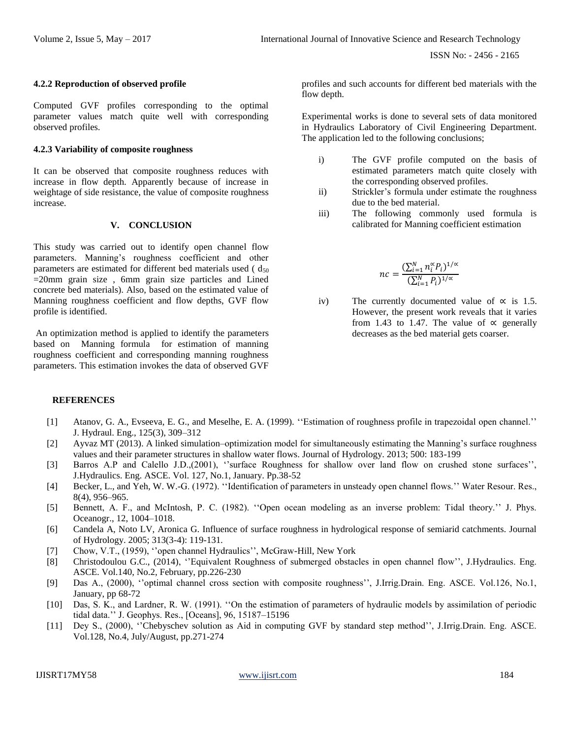#### **4.2.2 Reproduction of observed profile**

Computed GVF profiles corresponding to the optimal parameter values match quite well with corresponding observed profiles.

#### **4.2.3 Variability of composite roughness**

It can be observed that composite roughness reduces with increase in flow depth. Apparently because of increase in weightage of side resistance, the value of composite roughness increase.

#### **V. CONCLUSION**

This study was carried out to identify open channel flow parameters. Manning's roughness coefficient and other parameters are estimated for different bed materials used  $(d_{50})$  $=20$ mm grain size, 6mm grain size particles and Lined concrete bed materials). Also, based on the estimated value of Manning roughness coefficient and flow depths, GVF flow profile is identified.

An optimization method is applied to identify the parameters based on Manning formula for estimation of manning roughness coefficient and corresponding manning roughness parameters. This estimation invokes the data of observed GVF

profiles and such accounts for different bed materials with the flow depth.

Experimental works is done to several sets of data monitored in Hydraulics Laboratory of Civil Engineering Department. The application led to the following conclusions;

- i) The GVF profile computed on the basis of estimated parameters match quite closely with the corresponding observed profiles.
- ii) Strickler's formula under estimate the roughness due to the bed material.
- iii) The following commonly used formula is calibrated for Manning coefficient estimation

$$
nc = \frac{(\sum_{i=1}^N n_i^\alpha P_i)^{1/\alpha}}{(\sum_{i=1}^N P_i)^{1/\alpha}}
$$

iv) The currently documented value of  $\alpha$  is 1.5. However, the present work reveals that it varies from 1.43 to 1.47. The value of  $\alpha$  generally decreases as the bed material gets coarser.

#### **REFERENCES**

- [1] Atanov, G. A., Evseeva, E. G., and Meselhe, E. A. (1999). ''Estimation of roughness profile in trapezoidal open channel.'' J. Hydraul. Eng., 125(3), 309–312
- [2] Ayvaz MT (2013). A linked simulation–optimization model for simultaneously estimating the Manning's surface roughness values and their parameter structures in shallow water flows. Journal of Hydrology. 2013; 500: 183-199
- [3] Barros A.P and Calello J.D.,(2001), "surface Roughness for shallow over land flow on crushed stone surfaces", J.Hydraulics. Eng. ASCE. Vol. 127, No.1, January. Pp.38-52
- [4] Becker, L., and Yeh, W. W.-G. (1972). ''Identification of parameters in unsteady open channel flows.'' Water Resour. Res., 8(4), 956–965.
- [5] Bennett, A. F., and McIntosh, P. C. (1982). "Open ocean modeling as an inverse problem: Tidal theory." J. Phys. Oceanogr., 12, 1004–1018.
- [6] Candela A, Noto LV, Aronica G. Influence of surface roughness in hydrological response of semiarid catchments. Journal of Hydrology. 2005; 313(3-4): 119-131.
- [7] Chow, V.T., (1959), ''open channel Hydraulics'', McGraw-Hill, New York
- [8] Christodoulou G.C., (2014), ''Equivalent Roughness of submerged obstacles in open channel flow'', J.Hydraulics. Eng. ASCE. Vol.140, No.2, February, pp.226-230
- [9] Das A., (2000), ''optimal channel cross section with composite roughness'', J.Irrig.Drain. Eng. ASCE. Vol.126, No.1, January, pp 68-72
- [10] Das, S. K., and Lardner, R. W. (1991). ''On the estimation of parameters of hydraulic models by assimilation of periodic tidal data.'' J. Geophys. Res., [Oceans], 96, 15187–15196
- [11] Dey S., (2000), ''Chebyschev solution as Aid in computing GVF by standard step method'', J.Irrig.Drain. Eng. ASCE. Vol.128, No.4, July/August, pp.271-274